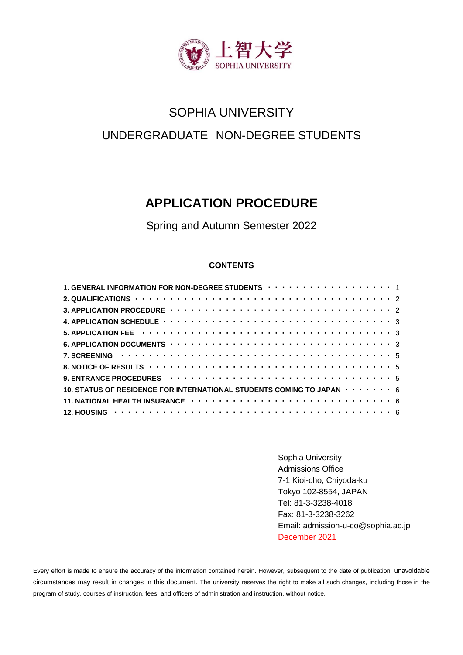

# SOPHIA UNIVERSITY UNDERGRADUATE NON-DEGREE STUDENTS

## **APPLICATION PROCEDURE**

Spring and Autumn Semester 2022

## **CONTENTS**

| 1. GENERAL INFORMATION FOR NON-DEGREE STUDENTS $\cdots \cdots \cdots \cdots \cdots \cdots$                           |  |
|----------------------------------------------------------------------------------------------------------------------|--|
|                                                                                                                      |  |
|                                                                                                                      |  |
| 4. APPLICATION SCHEDULE $\cdots \cdots \cdots \cdots \cdots \cdots \cdots \cdots \cdots \cdots \cdots \cdots \cdots$ |  |
|                                                                                                                      |  |
|                                                                                                                      |  |
|                                                                                                                      |  |
|                                                                                                                      |  |
| 9. ENTRANCE PROCEDURES $\cdots \cdots \cdots \cdots \cdots \cdots \cdots \cdots \cdots \cdots \cdots \cdots$         |  |
| 10. STATUS OF RESIDENCE FOR INTERNATIONAL STUDENTS COMING TO JAPAN $\cdots \cdots \cdots$ 6                          |  |
| 11. NATIONAL HEALTH INSURANCE $\cdots \cdots \cdots \cdots \cdots \cdots \cdots \cdots \cdots \cdots \cdots$ 6       |  |
|                                                                                                                      |  |

Sophia University Admissions Office 7-1 Kioi-cho, Chiyoda-ku Tokyo 102-8554, JAPAN Tel: 81-3-3238-4018 Fax: 81-3-3238-3262 Email: admission-u-co@sophia.ac.jp December 2021

Every effort is made to ensure the accuracy of the information contained herein. However, subsequent to the date of publication, unavoidable circumstances may result in changes in this document. The university reserves the right to make all such changes, including those in the program of study, courses of instruction, fees, and officers of administration and instruction, without notice.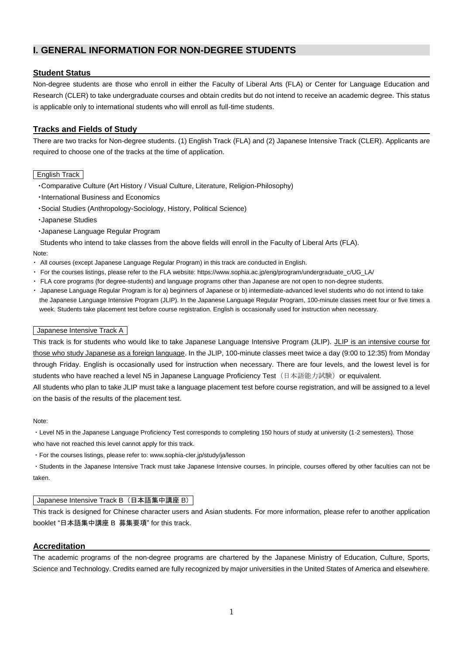## **I. GENERAL INFORMATION FOR NON-DEGREE STUDENTS**

## **Student Status**

Non-degree students are those who enroll in either the Faculty of Liberal Arts (FLA) or Center for Language Education and Research (CLER) to take undergraduate courses and obtain credits but do not intend to receive an academic degree. This status is applicable only to international students who will enroll as full-time students.

## **Tracks and Fields of Study**

There are two tracks for Non-degree students. (1) English Track (FLA) and (2) Japanese Intensive Track (CLER). Applicants are required to choose one of the tracks at the time of application.

#### English Track

- ・Comparative Culture (Art History / Visual Culture, Literature, Religion-Philosophy)
- ・International Business and Economics
- ・Social Studies (Anthropology-Sociology, History, Political Science)
- ・Japanese Studies
- ・Japanese Language Regular Program
- Students who intend to take classes from the above fields will enroll in the Faculty of Liberal Arts (FLA).

#### Note:

- ・ All courses (except Japanese Language Regular Program) in this track are conducted in English.
- ・ For the courses listings, please refer to the FLA website: https://www.sophia.ac.jp/eng/program/undergraduate\_c/UG\_LA/
- ・ FLA core programs (for degree-students) and language programs other than Japanese are not open to non-degree students.
- ・ Japanese Language Regular Program is for a) beginners of Japanese or b) intermediate-advanced level students who do not intend to take the Japanese Language Intensive Program (JLIP). In the Japanese Language Regular Program, 100-minute classes meet four or five times a week. Students take placement test before course registration. English is occasionally used for instruction when necessary.

#### Japanese Intensive Track A

This track is for students who would like to take Japanese Language Intensive Program (JLIP). JLIP is an intensive course for those who study Japanese as a foreign language. In the JLIP, 100-minute classes meet twice a day (9:00 to 12:35) from Monday through Friday. English is occasionally used for instruction when necessary. There are four levels, and the lowest level is for students who have reached a level N5 in Japanese Language Proficiency Test (日本語能力試験) or equivalent.

All students who plan to take JLIP must take a language placement test before course registration, and will be assigned to a level on the basis of the results of the placement test.

#### Note:

・Level N5 in the Japanese Language Proficiency Test corresponds to completing 150 hours of study at university (1-2 semesters). Those who have not reached this level cannot apply for this track.

・For the courses listings, please refer to: www.sophia-cler.jp/study/ja/lesson

・Students in the Japanese Intensive Track must take Japanese Intensive courses. In principle, courses offered by other faculties can not be taken.

#### Japanese Intensive Track B (日本語集中講座 B)

This track is designed for Chinese character users and Asian students. For more information, please refer to another application booklet "日本語集中講座 B 募集要項" for this track.

## **Accreditation**

The academic programs of the non-degree programs are chartered by the Japanese Ministry of Education, Culture, Sports, Science and Technology. Credits earned are fully recognized by major universities in the United States of America and elsewhere.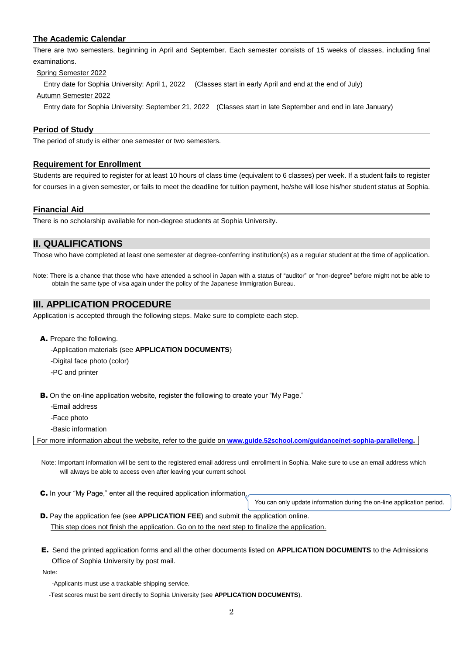## **The Academic Calendar**

There are two semesters, beginning in April and September. Each semester consists of 15 weeks of classes, including final examinations.

Spring Semester 2022

Entry date for Sophia University: April 1, 2022 (Classes start in early April and end at the end of July)

Autumn Semester 2022

Entry date for Sophia University: September 21, 2022 (Classes start in late September and end in late January)

## **Period of Study**

The period of study is either one semester or two semesters.

#### **Requirement for Enrollment**

Students are required to register for at least 10 hours of class time (equivalent to 6 classes) per week. If a student fails to register for courses in a given semester, or fails to meet the deadline for tuition payment, he/she will lose his/her student status at Sophia.

#### **Financial Aid**

There is no scholarship available for non-degree students at Sophia University.

## **II. QUALIFICATIONS**

Those who have completed at least one semester at degree-conferring institution(s) as a regular student at the time of application.

Note: There is a chance that those who have attended a school in Japan with a status of "auditor" or "non-degree" before might not be able to obtain the same type of visa again under the policy of the Japanese Immigration Bureau.

## **III. APPLICATION PROCEDURE**

Application is accepted through the following steps. Make sure to complete each step.

- A. Prepare the following.
	- -Application materials (see **APPLICATION DOCUMENTS**)
	- -Digital face photo (color)
	- -PC and printer

**B.** On the on-line application website, register the following to create your "My Page."

-Email address

-Face photo

-Basic information

For more information about the website, refer to the guide on **[www.guide.52school.com/guidance/net-sophia-parallel/eng](http://www.guide.52school.com/guidance/net-sophia-parallel/eng).**

Note: Important information will be sent to the registered email address until enrollment in Sophia. Make sure to use an email address which will always be able to access even after leaving your current school.

C. In your "My Page," enter all the required application information.

You can only update information during the on-line application period.

- D. Pay the application fee (see **APPLICATION FEE**) and submit the application online. This step does not finish the application. Go on to the next step to finalize the application.
- E. Send the printed application forms and all the other documents listed on **APPLICATION DOCUMENTS** to the Admissions Office of Sophia University by post mail.

Note:

- -Applicants must use a trackable shipping service.
- -Test scores must be sent directly to Sophia University (see **APPLICATION DOCUMENTS**).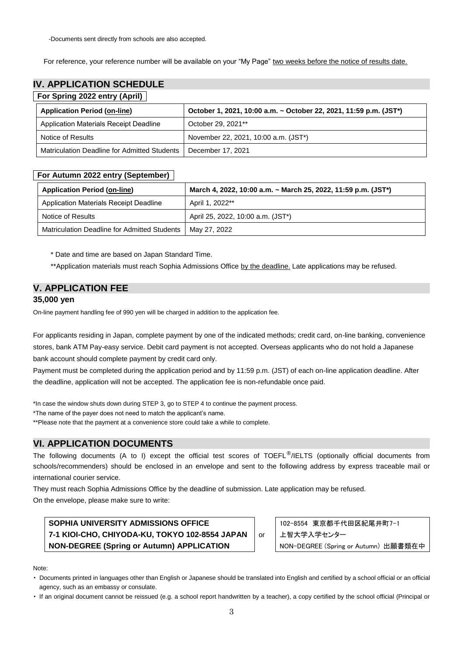-Documents sent directly from schools are also accepted.

For reference, your reference number will be available on your "My Page" two weeks before the notice of results date.

## **IV. APPLICATION SCHEDULE**

## **For Spring 2022 entry (April)**

| <b>Application Period (on-line)</b>          | October 1, 2021, 10:00 a.m. ~ October 22, 2021, 11:59 p.m. (JST*) |
|----------------------------------------------|-------------------------------------------------------------------|
| Application Materials Receipt Deadline       | October 29, 2021**                                                |
| Notice of Results                            | November 22, 2021, 10:00 a.m. (JST*)                              |
| Matriculation Deadline for Admitted Students | December 17, 2021                                                 |

## **For Autumn 2022 entry (September)**

| <b>Application Period (on-line)</b>          | March 4, 2022, 10:00 a.m. ~ March 25, 2022, 11:59 p.m. (JST*) |
|----------------------------------------------|---------------------------------------------------------------|
| Application Materials Receipt Deadline       | April 1, 2022**                                               |
| Notice of Results                            | April 25, 2022, 10:00 a.m. (JST*)                             |
| Matriculation Deadline for Admitted Students | May 27, 2022                                                  |

\* Date and time are based on Japan Standard Time.

\*\*Application materials must reach Sophia Admissions Office by the deadline. Late applications may be refused.

## **V. APPLICATION FEE**

## **35,000 yen**

On-line payment handling fee of 990 yen will be charged in addition to the application fee.

For applicants residing in Japan, complete payment by one of the indicated methods; credit card, on-line banking, convenience stores, bank ATM Pay-easy service. Debit card payment is not accepted. Overseas applicants who do not hold a Japanese bank account should complete payment by credit card only.

Payment must be completed during the application period and by 11:59 p.m. (JST) of each on-line application deadline. After the deadline, application will not be accepted. The application fee is non-refundable once paid.

\*In case the window shuts down during STEP 3, go to STEP 4 to continue the payment process.

\*The name of the payer does not need to match the applicant's name.

\*\*Please note that the payment at a convenience store could take a while to complete.

## **VI. APPLICATION DOCUMENTS**

The following documents (A to I) except the official test scores of TOEFL<sup>®</sup>/IELTS (optionally official documents from schools/recommenders) should be enclosed in an envelope and sent to the following address by express traceable mail or international courier service.

They must reach Sophia Admissions Office by the deadline of submission. Late application may be refused. On the envelope, please make sure to write:

**SOPHIA UNIVERSITY ADMISSIONS OFFICE 7-1 KIOI-CHO, CHIYODA-KU, TOKYO 102-8554 JAPAN NON-DEGREE (Spring or Autumn) APPLICATION**

102-8554 東京都千代田区紀尾井町7-1 上智大学入学センター NON-DEGREE (Spring or Autumn) 出願書類在中

#### Note:

・ Documents printed in languages other than English or Japanese should be translated into English and certified by a school official or an official agency, such as an embassy or consulate.

or

・ If an original document cannot be reissued (e.g. a school report handwritten by a teacher), a copy certified by the school official (Principal or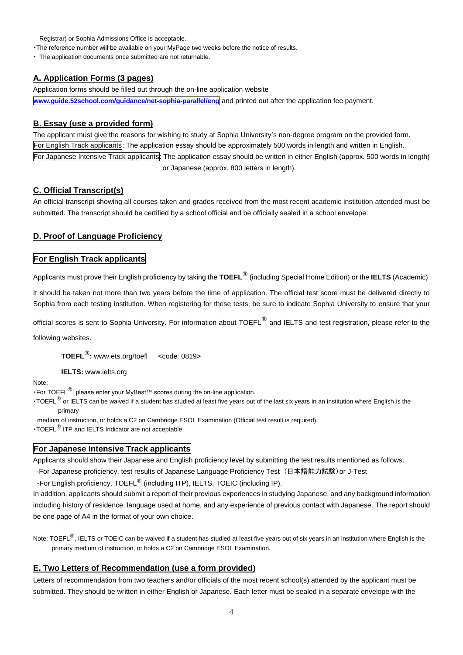Registrar) or Sophia Admissions Office is acceptable.

・The reference number will be available on your MyPage two weeks before the notice of results.

・ The application documents once submitted are not returnable.

#### **A. Application Forms (3 pages)**

Application forms should be filled out through the on-line application website

**[www.guide.52school.com/guidance/net-sophia-parallel/eng](file://///j-k19fs01.clnet.local/dept/学事局/入学ｾﾝﾀｰ/(17)国際教養学部入試・Non-Degree/(2-2)入試要項/2022年度/ND/www.guide.52school.com/guidance/net-sophia-parallel/eng)** and printed out after the application fee payment.

#### **B. Essay (use a provided form)**

The applicant must give the reasons for wishing to study at Sophia University's non-degree program on the provided form. For English Track applicants: The application essay should be approximately 500 words in length and written in English. For Japanese Intensive Track applicants: The application essay should be written in either English (approx. 500 words in length) or Japanese (approx. 800 letters in length).

#### **C. Official Transcript(s)**

An official transcript showing all courses taken and grades received from the most recent academic institution attended must be submitted. The transcript should be certified by a school official and be officially sealed in a school envelope.

#### **D. Proof of Language Proficiency**

## **For English Track applicants**

Applicants must prove their English proficiency by taking the **TOEFL** ® (including Special Home Edition) or the **IELTS** (Academic).

It should be taken not more than two years before the time of application. The official test score must be delivered directly to Sophia from each testing institution. When registering for these tests, be sure to indicate Sophia University to ensure that your

official scores is sent to Sophia University. For information about TOEFL<sup>®</sup> and IELTS and test registration, please refer to the

following websites.

**TOEFL**®**:** www.ets.org/toefl <code: 0819>

**IELTS:** [www.ielts.org](http://www.ielts.org/)

Note:

・For TOEFL®, please enter your MyBest™ scores during the on-line application.

• TOEFL<sup>®</sup> or IELTS can be waived if a student has studied at least five years out of the last six years in an institution where English is the primary

medium of instruction, or holds a C2 on Cambridge ESOL Examination (Official test result is required).

・TOEFL® ITP and IELTS Indicator are not acceptable.

#### **For Japanese Intensive Track applicants**

Applicants should show their Japanese and English proficiency level by submitting the test results mentioned as follows.

-For Japanese proficiency, test results of Japanese Language Proficiency Test (日本語能力試験)or J-Test

-For English proficiency, TOEFL® (including ITP), IELTS, TOEIC (including IP).

In addition, applicants should submit a report of their previous experiences in studying Japanese, and any background information including history of residence, language used at home, and any experience of previous contact with Japanese. The report should be one page of A4 in the format of your own choice.

Note: TOEFL<sup>®</sup>, IELTS or TOEIC can be waived if a student has studied at least five years out of six years in an institution where English is the primary medium of instruction, or holds a C2 on Cambridge ESOL Examination.

#### **E. Two Letters of Recommendation (use a form provided)**

Letters of recommendation from two teachers and/or officials of the most recent school(s) attended by the applicant must be submitted. They should be written in either English or Japanese. Each letter must be sealed in a separate envelope with the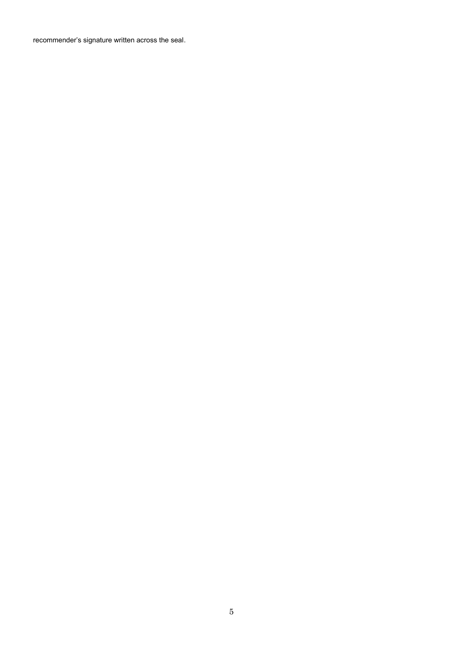recommender's signature written across the seal.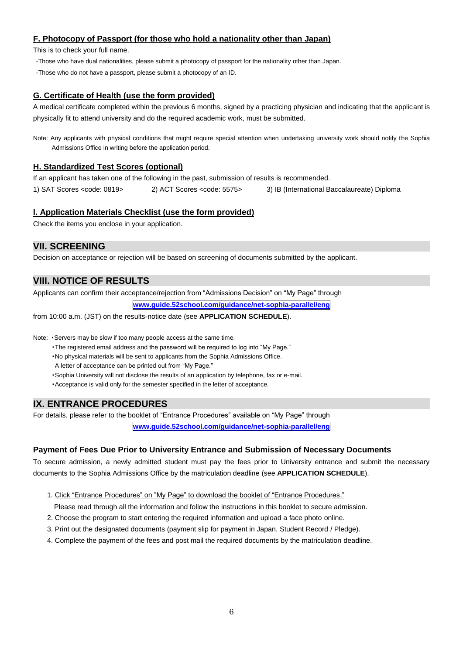## **F. Photocopy of Passport (for those who hold a nationality other than Japan)**

This is to check your full name.

-Those who have dual nationalities, please submit a photocopy of passport for the nationality other than Japan.

-Those who do not have a passport, please submit a photocopy of an ID.

## **G. Certificate of Health (use the form provided)**

A medical certificate completed within the previous 6 months, signed by a practicing physician and indicating that the applicant is physically fit to attend university and do the required academic work, must be submitted.

Note: Any applicants with physical conditions that might require special attention when undertaking university work should notify the Sophia Admissions Office in writing before the application period.

## **H. Standardized Test Scores (optional)**

If an applicant has taken one of the following in the past, submission of results is recommended.

1) SAT Scores <code: 0819> 2) ACT Scores <code: 5575> 3) IB (International Baccalaureate) Diploma

## **I. Application Materials Checklist (use the form provided)**

Check the items you enclose in your application.

## **VII. SCREENING**

Decision on acceptance or rejection will be based on screening of documents submitted by the applicant.

## **VIII. NOTICE OF RESULTS**

Applicants can confirm their acceptance/rejection from "Admissions Decision" on "My Page" through

**[www.guide.52school.com/guidance/net-sophia-parallel/eng](http://www.guide.52school.com/guidance/net-sophia-parallel/eng)**

from 10:00 a.m. (JST) on the results-notice date (see **APPLICATION SCHEDULE**).

Note: ・Servers may be slow if too many people access at the same time.

・The registered email address and the password will be required to log into "My Page."

・No physical materials will be sent to applicants from the Sophia Admissions Office.

A letter of acceptance can be printed out from "My Page."

・Sophia University will not disclose the results of an application by telephone, fax or e-mail.

・Acceptance is valid only for the semester specified in the letter of acceptance.

## **IX. ENTRANCE PROCEDURES**

For details, please refer to the booklet of "Entrance Procedures" available on "My Page" through

**[www.guide.52school.com/guidance/net-sophia-parallel/eng](http://www.guide.52school.com/guidance/net-sophia-parallel/eng)**

## **Payment of Fees Due Prior to University Entrance and Submission of Necessary Documents**

To secure admission, a newly admitted student must pay the fees prior to University entrance and submit the necessary documents to the Sophia Admissions Office by the matriculation deadline (see **APPLICATION SCHEDULE**).

1. Click "Entrance Procedures" on "My Page" to download the booklet of "Entrance Procedures."

Please read through all the information and follow the instructions in this booklet to secure admission.

- 2. Choose the program to start entering the required information and upload a face photo online.
- 3. Print out the designated documents (payment slip for payment in Japan, Student Record / Pledge).
- 4. Complete the payment of the fees and post mail the required documents by the matriculation deadline.